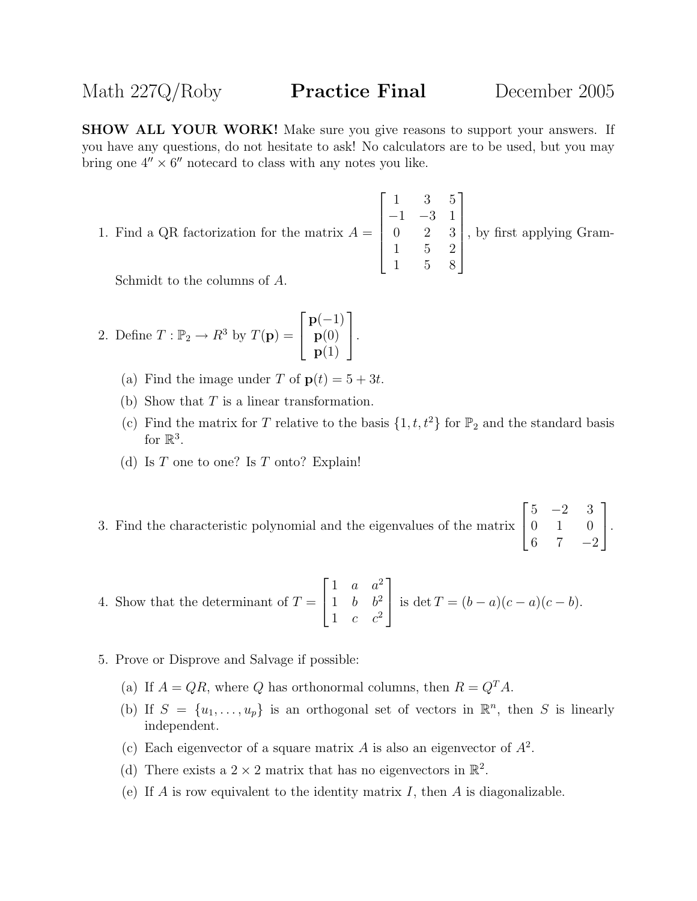SHOW ALL YOUR WORK! Make sure you give reasons to support your answers. If you have any questions, do not hesitate to ask! No calculators are to be used, but you may bring one  $4'' \times 6''$  notecard to class with any notes you like.

1. Find a QR factorization for the matrix  $A =$  $\sqrt{ }$  1 3 5 −1 −3 1 0 2 3 1 5 2 1 5 8 1  $\begin{array}{c} \begin{array}{c} \begin{array}{c} \end{array} \\ \begin{array}{c} \end{array} \end{array} \end{array}$ , by first applying Gram-

Schmidt to the columns of A.

2. Define 
$$
T : \mathbb{P}_2 \to R^3
$$
 by  $T(\mathbf{p}) = \begin{bmatrix} \mathbf{p}(-1) \\ \mathbf{p}(0) \\ \mathbf{p}(1) \end{bmatrix}$ .

- (a) Find the image under T of  $p(t) = 5 + 3t$ .
- (b) Show that  $T$  is a linear transformation.
- (c) Find the matrix for T relative to the basis  $\{1, t, t^2\}$  for  $\mathbb{P}_2$  and the standard basis for  $\mathbb{R}^3$ .
- (d) Is  $T$  one to one? Is  $T$  onto? Explain!
- 3. Find the characteristic polynomial and the eigenvalues of the matrix  $\sqrt{ }$  $\overline{1}$  $5 -2 3$ 0 1 0 6 7  $-2$ 1  $\vert \cdot$

4. Show that the determinant of 
$$
T = \begin{bmatrix} 1 & a & a^2 \\ 1 & b & b^2 \\ 1 & c & c^2 \end{bmatrix}
$$
 is  $\det T = (b - a)(c - a)(c - b)$ .

- 5. Prove or Disprove and Salvage if possible:
	- (a) If  $A = QR$ , where Q has orthonormal columns, then  $R = Q<sup>T</sup>A$ .
	- (b) If  $S = \{u_1, \ldots, u_p\}$  is an orthogonal set of vectors in  $\mathbb{R}^n$ , then S is linearly independent.
	- (c) Each eigenvector of a square matrix A is also an eigenvector of  $A^2$ .
	- (d) There exists a  $2 \times 2$  matrix that has no eigenvectors in  $\mathbb{R}^2$ .
	- (e) If A is row equivalent to the identity matrix I, then A is diagonalizable.